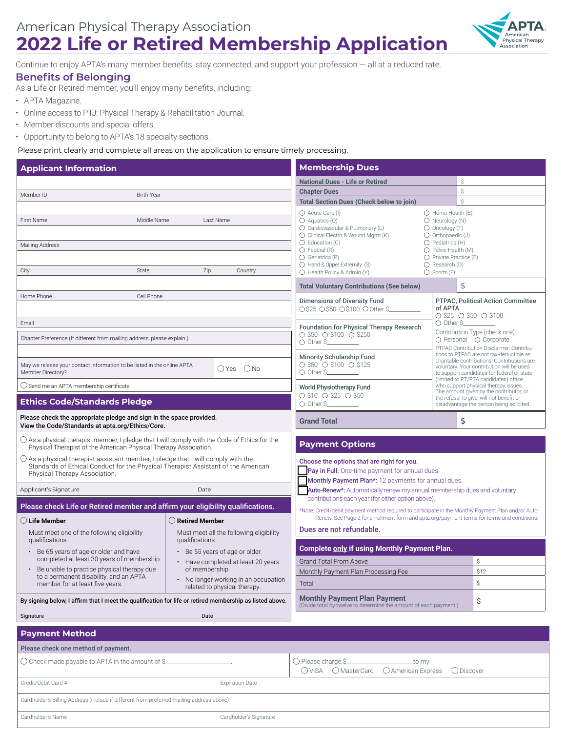# **2022 Life or Retired Membership Application**



Continue to enjoy APTA's many member benefits, stay connected, and support your profession — all at a reduced rate.

### **Benefits of Belonging**

As a Life or Retired member, you'll enjoy many benefits, including:

- APTA Magazine.
- Online access to PTJ: Physical Therapy & Rehabilitation Journal.

Cardholder's Name Cardholder's Signature

- Member discounts and special offers.
- Opportunity to belong to APTA's 18 specialty sections.

Please print clearly and complete all areas on the application to ensure timely processing.

| <b>Applicant Information</b>                                                                                                                                                                                    |                                                                                                                                                                                                                                                                                                                                           |                                                                                                                                | <b>Membership Dues</b>                                                                                                                                                                                                                                                                                                                                                                                                                                                               |                                                                                                                                                                                                                                                                         |                                                          |  |
|-----------------------------------------------------------------------------------------------------------------------------------------------------------------------------------------------------------------|-------------------------------------------------------------------------------------------------------------------------------------------------------------------------------------------------------------------------------------------------------------------------------------------------------------------------------------------|--------------------------------------------------------------------------------------------------------------------------------|--------------------------------------------------------------------------------------------------------------------------------------------------------------------------------------------------------------------------------------------------------------------------------------------------------------------------------------------------------------------------------------------------------------------------------------------------------------------------------------|-------------------------------------------------------------------------------------------------------------------------------------------------------------------------------------------------------------------------------------------------------------------------|----------------------------------------------------------|--|
|                                                                                                                                                                                                                 |                                                                                                                                                                                                                                                                                                                                           |                                                                                                                                | <b>National Dues - Life or Retired</b>                                                                                                                                                                                                                                                                                                                                                                                                                                               |                                                                                                                                                                                                                                                                         | Ŝ                                                        |  |
| Member ID<br><b>Birth Year</b>                                                                                                                                                                                  |                                                                                                                                                                                                                                                                                                                                           |                                                                                                                                | <b>Chapter Dues</b>                                                                                                                                                                                                                                                                                                                                                                                                                                                                  |                                                                                                                                                                                                                                                                         | Ŝ                                                        |  |
|                                                                                                                                                                                                                 |                                                                                                                                                                                                                                                                                                                                           | <b>Total Section Dues (Check below to join)</b>                                                                                | Ŝ                                                                                                                                                                                                                                                                                                                                                                                                                                                                                    |                                                                                                                                                                                                                                                                         |                                                          |  |
| Middle Name<br>First Name<br>Last Name<br>Mailing Address<br>State<br>Zip<br>City<br>Country                                                                                                                    |                                                                                                                                                                                                                                                                                                                                           |                                                                                                                                | ○ Acute Care (I)<br>$\bigcirc$ Home Health (B)<br>$\bigcirc$ Aquatics (Q)<br>$\bigcirc$ Neurology (N)<br>O Oncology (T)<br>○ Cardiovascular & Pulmonary (L)<br>$\bigcirc$ Orthopaedic (J)<br>$\bigcirc$ Clinical Electro & Wound Mgmt (K)<br>$O$ Pediatrics $(H)$<br>$\bigcirc$ Education (C)<br>O Pelvic Health (M)<br>$\bigcirc$ Federal (R)<br>O Private Practice (E)<br>$\bigcirc$ Geriatrics (P)<br>○ Hand & Upper Extremity (S)<br>$\bigcirc$ Research (D)<br>$O$ Sports $(F)$ |                                                                                                                                                                                                                                                                         |                                                          |  |
|                                                                                                                                                                                                                 |                                                                                                                                                                                                                                                                                                                                           |                                                                                                                                | ◯ Health Policy & Admin (Y)<br><b>Total Voluntary Contributions (See below)</b>                                                                                                                                                                                                                                                                                                                                                                                                      | \$                                                                                                                                                                                                                                                                      |                                                          |  |
| Home Phone<br>Cell Phone                                                                                                                                                                                        |                                                                                                                                                                                                                                                                                                                                           |                                                                                                                                |                                                                                                                                                                                                                                                                                                                                                                                                                                                                                      |                                                                                                                                                                                                                                                                         |                                                          |  |
| Email                                                                                                                                                                                                           |                                                                                                                                                                                                                                                                                                                                           |                                                                                                                                | <b>Dimensions of Diversity Fund</b><br><b>PTPAC, Political Action Committee</b><br>○\$25 ○\$50 ○\$100 ○ Other \$<br>of APTA<br>$\circ$ \$25 $\circ$ \$50 $\circ$ \$100<br>$\bigcirc$ Other S____<br><b>Foundation for Physical Therapy Research</b>                                                                                                                                                                                                                                  |                                                                                                                                                                                                                                                                         |                                                          |  |
| Chapter Preference (If different from mailing address, please explain.)                                                                                                                                         |                                                                                                                                                                                                                                                                                                                                           |                                                                                                                                | $\circ$ \$50 $\circ$ \$100 $\circ$ \$250<br>$\bigcirc$ Other \$                                                                                                                                                                                                                                                                                                                                                                                                                      |                                                                                                                                                                                                                                                                         | Contribution Type (check one):<br>○ Personal ○ Corporate |  |
| May we release your contact information to be listed in the online APTA<br>OYes ONo<br>Member Directory?                                                                                                        |                                                                                                                                                                                                                                                                                                                                           | <b>Minority Scholarship Fund</b><br>$\circ$ \$50 $\circ$ \$100 $\circ$ \$125<br>$\bigcirc$ Other $\mathsf{S}$ <sub>_____</sub> |                                                                                                                                                                                                                                                                                                                                                                                                                                                                                      | PTPAC Contribution Disclaimer: Contribu-<br>tions to PTPAC are not tax-deductible as<br>charitable contributions. Contributions are<br>voluntary. Your contribution will be used<br>to support candidates for federal or state<br>(limited to PT/PTA candidates) office |                                                          |  |
| ○ Send me an APTA membership certificate.                                                                                                                                                                       |                                                                                                                                                                                                                                                                                                                                           |                                                                                                                                | <b>World Physiotherapy Fund</b>                                                                                                                                                                                                                                                                                                                                                                                                                                                      |                                                                                                                                                                                                                                                                         | who support physical therapy issues.                     |  |
| <b>Ethics Code/Standards Pledge</b>                                                                                                                                                                             |                                                                                                                                                                                                                                                                                                                                           |                                                                                                                                | ○ \$10 ○ \$25 ○ \$50<br>$\bigcirc$ Other S                                                                                                                                                                                                                                                                                                                                                                                                                                           | The amount given by the contributor, or<br>the refusal to give, will not benefit or<br>disadvantage the person being solicited.                                                                                                                                         |                                                          |  |
| Please check the appropriate pledge and sign in the space provided.<br>View the Code/Standards at apta.org/Ethics/Core.                                                                                         |                                                                                                                                                                                                                                                                                                                                           |                                                                                                                                | <b>Grand Total</b>                                                                                                                                                                                                                                                                                                                                                                                                                                                                   | \$                                                                                                                                                                                                                                                                      |                                                          |  |
| $\bigcirc$ As a physical therapist member, I pledge that I will comply with the Code of Ethics for the<br>Physical Therapist of the American Physical Therapy Association.                                      |                                                                                                                                                                                                                                                                                                                                           |                                                                                                                                | <b>Payment Options</b>                                                                                                                                                                                                                                                                                                                                                                                                                                                               |                                                                                                                                                                                                                                                                         |                                                          |  |
| $\bigcirc$ As a physical therapist assistant member, I pledge that I will comply with the<br>Standards of Ethical Conduct for the Physical Therapist Assistant of the American<br>Physical Therapy Association. |                                                                                                                                                                                                                                                                                                                                           |                                                                                                                                | Choose the options that are right for you.<br>Pay in Full: One-time payment for annual dues.<br>Monthly Payment Plan*: 12 payments for annual dues.                                                                                                                                                                                                                                                                                                                                  |                                                                                                                                                                                                                                                                         |                                                          |  |
| Applicant's Signature                                                                                                                                                                                           | Date                                                                                                                                                                                                                                                                                                                                      |                                                                                                                                | <b>Auto-Renew*:</b> Automatically renew my annual membership dues and voluntary                                                                                                                                                                                                                                                                                                                                                                                                      |                                                                                                                                                                                                                                                                         |                                                          |  |
| Please check Life or Retired member and affirm your eligibility qualifications.                                                                                                                                 |                                                                                                                                                                                                                                                                                                                                           |                                                                                                                                | contributions each year (for either option above).<br>*Note: Credit/debit payment method required to participate in the Monthly Payment Plan and/or Auto-                                                                                                                                                                                                                                                                                                                            |                                                                                                                                                                                                                                                                         |                                                          |  |
| $\bigcirc$ Life Member<br>$\bigcirc$ Retired Member                                                                                                                                                             |                                                                                                                                                                                                                                                                                                                                           | Renew. See Page 2 for enrollment form and apta.org/payment-terms for terms and conditions.                                     |                                                                                                                                                                                                                                                                                                                                                                                                                                                                                      |                                                                                                                                                                                                                                                                         |                                                          |  |
| Must meet one of the following eligibility<br>qualifications:                                                                                                                                                   | Must meet all the following eligibility<br>qualifications:                                                                                                                                                                                                                                                                                |                                                                                                                                | Dues are not refundable.                                                                                                                                                                                                                                                                                                                                                                                                                                                             |                                                                                                                                                                                                                                                                         |                                                          |  |
| • Be 65 years of age or older and have                                                                                                                                                                          | • Be 55 years of age or older.<br>completed at least 30 years of membership.<br>• Have completed at least 20 years<br>• Be unable to practice physical therapy due<br>of membership.<br>to a permanent disability, and an APTA<br>• No longer working in an occupation<br>member for at least five years.<br>related to physical therapy. |                                                                                                                                | Complete only if using Monthly Payment Plan.                                                                                                                                                                                                                                                                                                                                                                                                                                         |                                                                                                                                                                                                                                                                         |                                                          |  |
|                                                                                                                                                                                                                 |                                                                                                                                                                                                                                                                                                                                           |                                                                                                                                | \$<br>Grand Total From Above                                                                                                                                                                                                                                                                                                                                                                                                                                                         |                                                                                                                                                                                                                                                                         |                                                          |  |
|                                                                                                                                                                                                                 |                                                                                                                                                                                                                                                                                                                                           |                                                                                                                                | Monthly Payment Plan Processing Fee                                                                                                                                                                                                                                                                                                                                                                                                                                                  |                                                                                                                                                                                                                                                                         | \$12                                                     |  |
|                                                                                                                                                                                                                 |                                                                                                                                                                                                                                                                                                                                           |                                                                                                                                | Total                                                                                                                                                                                                                                                                                                                                                                                                                                                                                |                                                                                                                                                                                                                                                                         | Ŝ.                                                       |  |
| By signing below, I affirm that I meet the qualification for life or retired membership as listed above.                                                                                                        |                                                                                                                                                                                                                                                                                                                                           | <b>Monthly Payment Plan Payment</b><br>(Divide total by twelve to determine the amount of each payment.)<br>\$                 |                                                                                                                                                                                                                                                                                                                                                                                                                                                                                      |                                                                                                                                                                                                                                                                         |                                                          |  |
| Signature_                                                                                                                                                                                                      | _ Date __                                                                                                                                                                                                                                                                                                                                 |                                                                                                                                |                                                                                                                                                                                                                                                                                                                                                                                                                                                                                      |                                                                                                                                                                                                                                                                         |                                                          |  |
| <b>Payment Method</b>                                                                                                                                                                                           |                                                                                                                                                                                                                                                                                                                                           |                                                                                                                                |                                                                                                                                                                                                                                                                                                                                                                                                                                                                                      |                                                                                                                                                                                                                                                                         |                                                          |  |
| Please check one method of payment.                                                                                                                                                                             |                                                                                                                                                                                                                                                                                                                                           |                                                                                                                                |                                                                                                                                                                                                                                                                                                                                                                                                                                                                                      |                                                                                                                                                                                                                                                                         |                                                          |  |
| $\bigcirc$ Check made payable to APTA in the amount of \$ $\equiv$                                                                                                                                              |                                                                                                                                                                                                                                                                                                                                           |                                                                                                                                | $\bigcirc$ Please charge \$<br>to my:<br>○ VISA ○ MasterCard ○ American Express                                                                                                                                                                                                                                                                                                                                                                                                      |                                                                                                                                                                                                                                                                         | O Discover                                               |  |
| Credit/Debit Card #                                                                                                                                                                                             |                                                                                                                                                                                                                                                                                                                                           | <b>Expiration Date</b>                                                                                                         |                                                                                                                                                                                                                                                                                                                                                                                                                                                                                      |                                                                                                                                                                                                                                                                         |                                                          |  |
| Cardholder's Billing Address (include if different from preferred mailing address above)                                                                                                                        |                                                                                                                                                                                                                                                                                                                                           |                                                                                                                                |                                                                                                                                                                                                                                                                                                                                                                                                                                                                                      |                                                                                                                                                                                                                                                                         |                                                          |  |